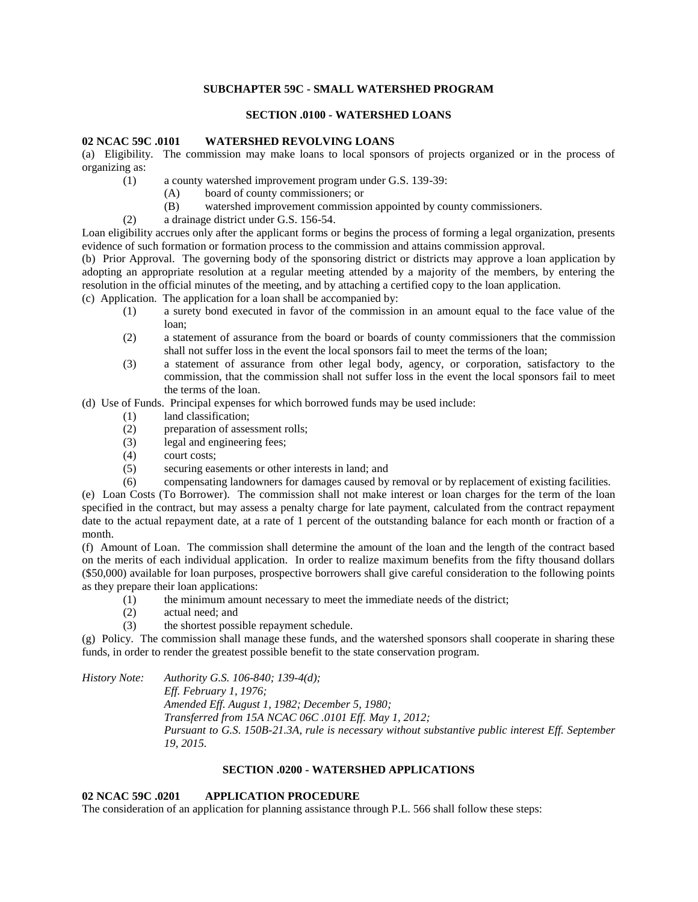### **SUBCHAPTER 59C - SMALL WATERSHED PROGRAM**

### **SECTION .0100 - WATERSHED LOANS**

#### **02 NCAC 59C .0101 WATERSHED REVOLVING LOANS**

(a) Eligibility. The commission may make loans to local sponsors of projects organized or in the process of organizing as:

- (1) a county watershed improvement program under G.S. 139-39:
	- (A) board of county commissioners; or
	- (B) watershed improvement commission appointed by county commissioners.
- (2) a drainage district under G.S. 156-54.

Loan eligibility accrues only after the applicant forms or begins the process of forming a legal organization, presents evidence of such formation or formation process to the commission and attains commission approval.

(b) Prior Approval. The governing body of the sponsoring district or districts may approve a loan application by adopting an appropriate resolution at a regular meeting attended by a majority of the members, by entering the resolution in the official minutes of the meeting, and by attaching a certified copy to the loan application.

(c) Application. The application for a loan shall be accompanied by:

- (1) a surety bond executed in favor of the commission in an amount equal to the face value of the loan;
- (2) a statement of assurance from the board or boards of county commissioners that the commission shall not suffer loss in the event the local sponsors fail to meet the terms of the loan;
- (3) a statement of assurance from other legal body, agency, or corporation, satisfactory to the commission, that the commission shall not suffer loss in the event the local sponsors fail to meet the terms of the loan.

(d) Use of Funds. Principal expenses for which borrowed funds may be used include:

- (1) land classification;
- (2) preparation of assessment rolls;
- (3) legal and engineering fees;
- (4) court costs;
- (5) securing easements or other interests in land; and
- (6) compensating landowners for damages caused by removal or by replacement of existing facilities.

(e) Loan Costs (To Borrower). The commission shall not make interest or loan charges for the term of the loan specified in the contract, but may assess a penalty charge for late payment, calculated from the contract repayment date to the actual repayment date, at a rate of 1 percent of the outstanding balance for each month or fraction of a month.

(f) Amount of Loan. The commission shall determine the amount of the loan and the length of the contract based on the merits of each individual application. In order to realize maximum benefits from the fifty thousand dollars (\$50,000) available for loan purposes, prospective borrowers shall give careful consideration to the following points as they prepare their loan applications:

- (1) the minimum amount necessary to meet the immediate needs of the district;
- (2) actual need; and
- (3) the shortest possible repayment schedule.

(g) Policy. The commission shall manage these funds, and the watershed sponsors shall cooperate in sharing these funds, in order to render the greatest possible benefit to the state conservation program.

*History Note: Authority G.S. 106-840; 139-4(d);* 

*Eff. February 1, 1976; Amended Eff. August 1, 1982; December 5, 1980; Transferred from 15A NCAC 06C .0101 Eff. May 1, 2012; Pursuant to G.S. 150B-21.3A, rule is necessary without substantive public interest Eff. September 19, 2015.*

#### **SECTION .0200 - WATERSHED APPLICATIONS**

# **02 NCAC 59C .0201 APPLICATION PROCEDURE**

The consideration of an application for planning assistance through P.L. 566 shall follow these steps: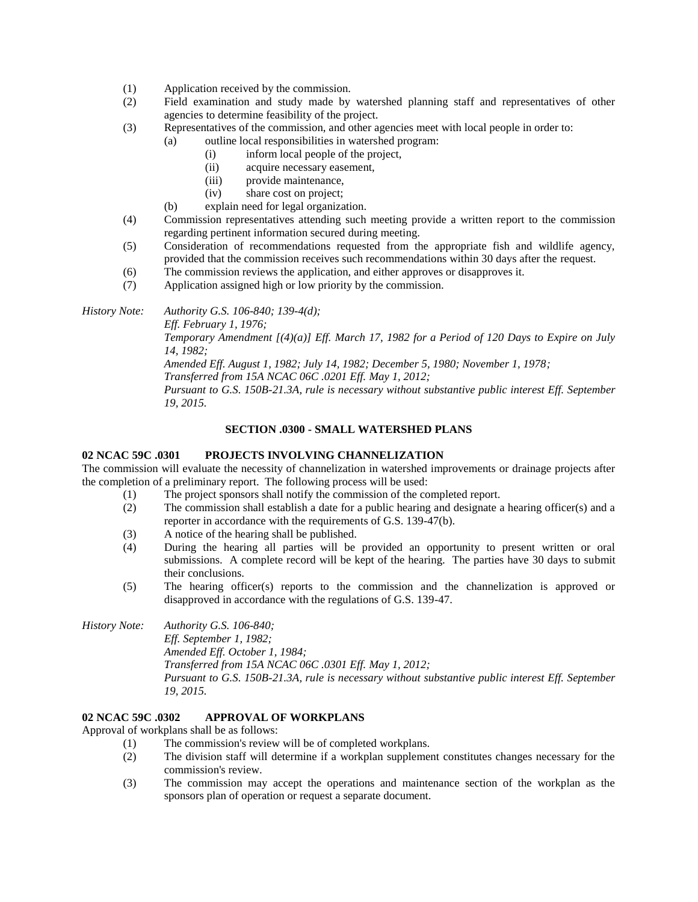- (1) Application received by the commission.
- (2) Field examination and study made by watershed planning staff and representatives of other agencies to determine feasibility of the project.
- (3) Representatives of the commission, and other agencies meet with local people in order to:
	- (a) outline local responsibilities in watershed program:
		- (i) inform local people of the project,
		- (ii) acquire necessary easement,
		- (iii) provide maintenance,
		- (iv) share cost on project;
	- (b) explain need for legal organization.
- (4) Commission representatives attending such meeting provide a written report to the commission regarding pertinent information secured during meeting.
- (5) Consideration of recommendations requested from the appropriate fish and wildlife agency, provided that the commission receives such recommendations within 30 days after the request.
- (6) The commission reviews the application, and either approves or disapproves it.
- (7) Application assigned high or low priority by the commission.

*History Note: Authority G.S. 106-840; 139-4(d);* 

*Eff. February 1, 1976;*

*Temporary Amendment [(4)(a)] Eff. March 17, 1982 for a Period of 120 Days to Expire on July 14, 1982;*

*Amended Eff. August 1, 1982; July 14, 1982; December 5, 1980; November 1, 1978;*

*Transferred from 15A NCAC 06C .0201 Eff. May 1, 2012;*

*Pursuant to G.S. 150B-21.3A, rule is necessary without substantive public interest Eff. September 19, 2015.*

### **SECTION .0300 - SMALL WATERSHED PLANS**

#### **02 NCAC 59C .0301 PROJECTS INVOLVING CHANNELIZATION**

The commission will evaluate the necessity of channelization in watershed improvements or drainage projects after the completion of a preliminary report. The following process will be used:

- (1) The project sponsors shall notify the commission of the completed report.
- (2) The commission shall establish a date for a public hearing and designate a hearing officer(s) and a reporter in accordance with the requirements of G.S. 139-47(b).
- (3) A notice of the hearing shall be published.
- (4) During the hearing all parties will be provided an opportunity to present written or oral submissions. A complete record will be kept of the hearing. The parties have 30 days to submit their conclusions.
- (5) The hearing officer(s) reports to the commission and the channelization is approved or disapproved in accordance with the regulations of G.S. 139-47.

*History Note: Authority G.S. 106-840; Eff. September 1, 1982; Amended Eff. October 1, 1984; Transferred from 15A NCAC 06C .0301 Eff. May 1, 2012; Pursuant to G.S. 150B-21.3A, rule is necessary without substantive public interest Eff. September 19, 2015.*

# **02 NCAC 59C .0302 APPROVAL OF WORKPLANS**

Approval of workplans shall be as follows:

- (1) The commission's review will be of completed workplans.
- (2) The division staff will determine if a workplan supplement constitutes changes necessary for the commission's review.
- (3) The commission may accept the operations and maintenance section of the workplan as the sponsors plan of operation or request a separate document.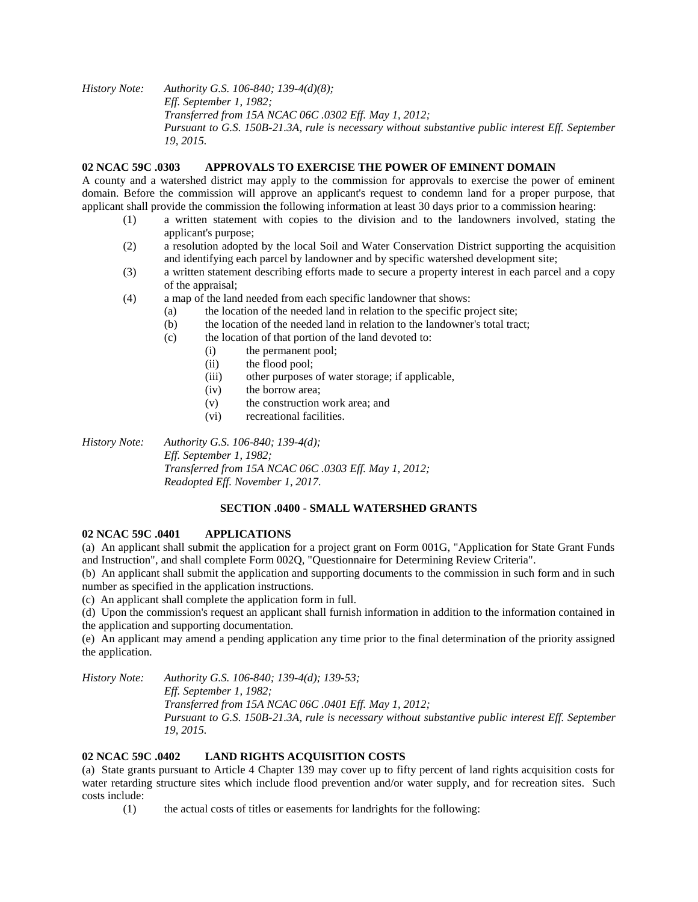*History Note: Authority G.S. 106-840; 139-4(d)(8); Eff. September 1, 1982; Transferred from 15A NCAC 06C .0302 Eff. May 1, 2012; Pursuant to G.S. 150B-21.3A, rule is necessary without substantive public interest Eff. September 19, 2015.*

### **02 NCAC 59C .0303 APPROVALS TO EXERCISE THE POWER OF EMINENT DOMAIN**

A county and a watershed district may apply to the commission for approvals to exercise the power of eminent domain. Before the commission will approve an applicant's request to condemn land for a proper purpose, that applicant shall provide the commission the following information at least 30 days prior to a commission hearing:

- (1) a written statement with copies to the division and to the landowners involved, stating the applicant's purpose;
- (2) a resolution adopted by the local Soil and Water Conservation District supporting the acquisition and identifying each parcel by landowner and by specific watershed development site;
- (3) a written statement describing efforts made to secure a property interest in each parcel and a copy of the appraisal;
- (4) a map of the land needed from each specific landowner that shows:
	- (a) the location of the needed land in relation to the specific project site;
		- (b) the location of the needed land in relation to the landowner's total tract;
		- (c) the location of that portion of the land devoted to:
			- (i) the permanent pool;
			- (ii) the flood pool;
			- (iii) other purposes of water storage; if applicable,
			- (iv) the borrow area;
			- (v) the construction work area; and
			- (vi) recreational facilities.

*History Note: Authority G.S. 106-840; 139-4(d); Eff. September 1, 1982; Transferred from 15A NCAC 06C .0303 Eff. May 1, 2012; Readopted Eff. November 1, 2017.*

# **SECTION .0400 - SMALL WATERSHED GRANTS**

#### **02 NCAC 59C .0401 APPLICATIONS**

(a) An applicant shall submit the application for a project grant on Form 001G, "Application for State Grant Funds and Instruction", and shall complete Form 002Q, "Questionnaire for Determining Review Criteria".

(b) An applicant shall submit the application and supporting documents to the commission in such form and in such number as specified in the application instructions.

(c) An applicant shall complete the application form in full.

(d) Upon the commission's request an applicant shall furnish information in addition to the information contained in the application and supporting documentation.

(e) An applicant may amend a pending application any time prior to the final determination of the priority assigned the application.

*History Note: Authority G.S. 106-840; 139-4(d); 139-53;* 

*Eff. September 1, 1982; Transferred from 15A NCAC 06C .0401 Eff. May 1, 2012; Pursuant to G.S. 150B-21.3A, rule is necessary without substantive public interest Eff. September 19, 2015.*

# **02 NCAC 59C .0402 LAND RIGHTS ACQUISITION COSTS**

(a) State grants pursuant to Article 4 Chapter 139 may cover up to fifty percent of land rights acquisition costs for water retarding structure sites which include flood prevention and/or water supply, and for recreation sites. Such costs include:

(1) the actual costs of titles or easements for landrights for the following: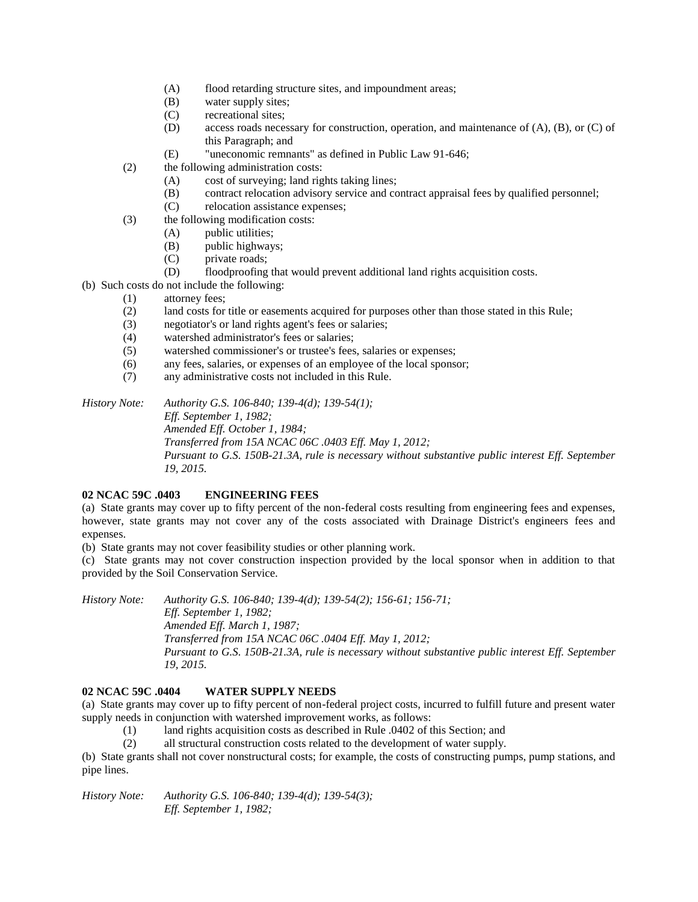- (A) flood retarding structure sites, and impoundment areas;
- (B) water supply sites;
- (C) recreational sites;
- (D) access roads necessary for construction, operation, and maintenance of (A), (B), or (C) of this Paragraph; and
- (E) "uneconomic remnants" as defined in Public Law 91-646;
- (2) the following administration costs:
	- (A) cost of surveying; land rights taking lines;
	- (B) contract relocation advisory service and contract appraisal fees by qualified personnel;
	- (C) relocation assistance expenses;
- (3) the following modification costs:
	- (A) public utilities;
	- (B) public highways;
	- (C) private roads;
	- (D) floodproofing that would prevent additional land rights acquisition costs.
- (b) Such costs do not include the following:
	- (1) attorney fees;
	- (2) land costs for title or easements acquired for purposes other than those stated in this Rule;
	- (3) negotiator's or land rights agent's fees or salaries;
	- (4) watershed administrator's fees or salaries;
	- (5) watershed commissioner's or trustee's fees, salaries or expenses;
	- (6) any fees, salaries, or expenses of an employee of the local sponsor;
	- (7) any administrative costs not included in this Rule.

*History Note: Authority G.S. 106-840; 139-4(d); 139-54(1); Eff. September 1, 1982; Amended Eff. October 1, 1984; Transferred from 15A NCAC 06C .0403 Eff. May 1, 2012; Pursuant to G.S. 150B-21.3A, rule is necessary without substantive public interest Eff. September 19, 2015.*

# **02 NCAC 59C .0403 ENGINEERING FEES**

(a) State grants may cover up to fifty percent of the non-federal costs resulting from engineering fees and expenses, however, state grants may not cover any of the costs associated with Drainage District's engineers fees and expenses.

(b) State grants may not cover feasibility studies or other planning work.

(c) State grants may not cover construction inspection provided by the local sponsor when in addition to that provided by the Soil Conservation Service.

*History Note: Authority G.S. 106-840; 139-4(d); 139-54(2); 156-61; 156-71; Eff. September 1, 1982; Amended Eff. March 1, 1987; Transferred from 15A NCAC 06C .0404 Eff. May 1, 2012; Pursuant to G.S. 150B-21.3A, rule is necessary without substantive public interest Eff. September 19, 2015.*

# **02 NCAC 59C .0404 WATER SUPPLY NEEDS**

(a) State grants may cover up to fifty percent of non-federal project costs, incurred to fulfill future and present water supply needs in conjunction with watershed improvement works, as follows:

(1) land rights acquisition costs as described in Rule .0402 of this Section; and

(2) all structural construction costs related to the development of water supply.

(b) State grants shall not cover nonstructural costs; for example, the costs of constructing pumps, pump stations, and pipe lines.

*History Note: Authority G.S. 106-840; 139-4(d); 139-54(3); Eff. September 1, 1982;*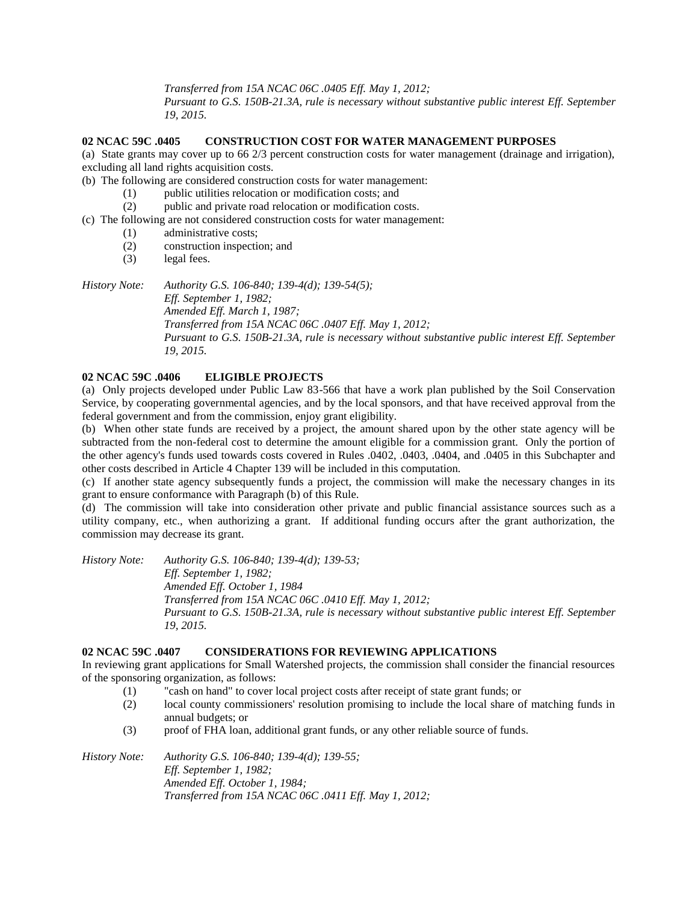*Transferred from 15A NCAC 06C .0405 Eff. May 1, 2012;*

*Pursuant to G.S. 150B-21.3A, rule is necessary without substantive public interest Eff. September 19, 2015.*

#### **02 NCAC 59C .0405 CONSTRUCTION COST FOR WATER MANAGEMENT PURPOSES**

(a) State grants may cover up to 66 2/3 percent construction costs for water management (drainage and irrigation), excluding all land rights acquisition costs.

- (b) The following are considered construction costs for water management:
	- (1) public utilities relocation or modification costs; and
	- (2) public and private road relocation or modification costs.
- (c) The following are not considered construction costs for water management:
	- (1) administrative costs;
	- (2) construction inspection; and
	- (3) legal fees.

*History Note: Authority G.S. 106-840; 139-4(d); 139-54(5);* 

*Eff. September 1, 1982; Amended Eff. March 1, 1987; Transferred from 15A NCAC 06C .0407 Eff. May 1, 2012; Pursuant to G.S. 150B-21.3A, rule is necessary without substantive public interest Eff. September 19, 2015.*

# **02 NCAC 59C .0406 ELIGIBLE PROJECTS**

(a) Only projects developed under Public Law 83-566 that have a work plan published by the Soil Conservation Service, by cooperating governmental agencies, and by the local sponsors, and that have received approval from the federal government and from the commission, enjoy grant eligibility.

(b) When other state funds are received by a project, the amount shared upon by the other state agency will be subtracted from the non-federal cost to determine the amount eligible for a commission grant. Only the portion of the other agency's funds used towards costs covered in Rules .0402, .0403, .0404, and .0405 in this Subchapter and other costs described in Article 4 Chapter 139 will be included in this computation.

(c) If another state agency subsequently funds a project, the commission will make the necessary changes in its grant to ensure conformance with Paragraph (b) of this Rule.

(d) The commission will take into consideration other private and public financial assistance sources such as a utility company, etc., when authorizing a grant. If additional funding occurs after the grant authorization, the commission may decrease its grant.

*History Note: Authority G.S. 106-840; 139-4(d); 139-53; Eff. September 1, 1982; Amended Eff. October 1, 1984 Transferred from 15A NCAC 06C .0410 Eff. May 1, 2012; Pursuant to G.S. 150B-21.3A, rule is necessary without substantive public interest Eff. September 19, 2015.*

#### **02 NCAC 59C .0407 CONSIDERATIONS FOR REVIEWING APPLICATIONS**

In reviewing grant applications for Small Watershed projects, the commission shall consider the financial resources of the sponsoring organization, as follows:

- (1) "cash on hand" to cover local project costs after receipt of state grant funds; or
- (2) local county commissioners' resolution promising to include the local share of matching funds in annual budgets; or
- (3) proof of FHA loan, additional grant funds, or any other reliable source of funds.

*History Note: Authority G.S. 106-840; 139-4(d); 139-55; Eff. September 1, 1982; Amended Eff. October 1, 1984; Transferred from 15A NCAC 06C .0411 Eff. May 1, 2012;*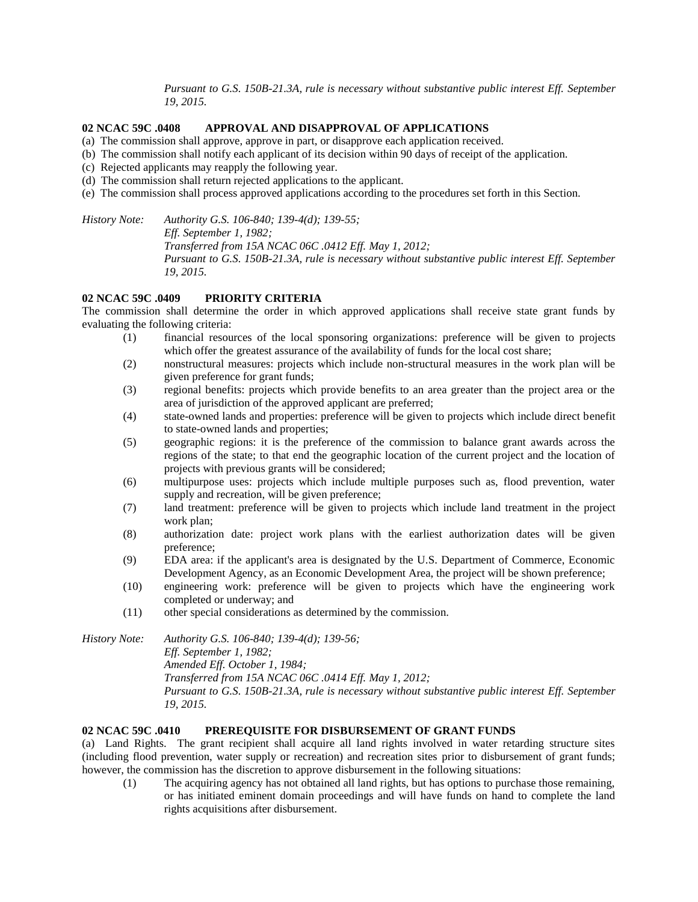*Pursuant to G.S. 150B-21.3A, rule is necessary without substantive public interest Eff. September 19, 2015.*

# **02 NCAC 59C .0408 APPROVAL AND DISAPPROVAL OF APPLICATIONS**

- (a) The commission shall approve, approve in part, or disapprove each application received.
- (b) The commission shall notify each applicant of its decision within 90 days of receipt of the application.
- (c) Rejected applicants may reapply the following year.
- (d) The commission shall return rejected applications to the applicant.
- (e) The commission shall process approved applications according to the procedures set forth in this Section.

*History Note: Authority G.S. 106-840; 139-4(d); 139-55; Eff. September 1, 1982; Transferred from 15A NCAC 06C .0412 Eff. May 1, 2012; Pursuant to G.S. 150B-21.3A, rule is necessary without substantive public interest Eff. September 19, 2015.*

# **02 NCAC 59C .0409 PRIORITY CRITERIA**

The commission shall determine the order in which approved applications shall receive state grant funds by evaluating the following criteria:

- (1) financial resources of the local sponsoring organizations: preference will be given to projects which offer the greatest assurance of the availability of funds for the local cost share;
- (2) nonstructural measures: projects which include non-structural measures in the work plan will be given preference for grant funds;
- (3) regional benefits: projects which provide benefits to an area greater than the project area or the area of jurisdiction of the approved applicant are preferred;
- (4) state-owned lands and properties: preference will be given to projects which include direct benefit to state-owned lands and properties;
- (5) geographic regions: it is the preference of the commission to balance grant awards across the regions of the state; to that end the geographic location of the current project and the location of projects with previous grants will be considered;
- (6) multipurpose uses: projects which include multiple purposes such as, flood prevention, water supply and recreation, will be given preference;
- (7) land treatment: preference will be given to projects which include land treatment in the project work plan;
- (8) authorization date: project work plans with the earliest authorization dates will be given preference;
- (9) EDA area: if the applicant's area is designated by the U.S. Department of Commerce, Economic Development Agency, as an Economic Development Area, the project will be shown preference;
- (10) engineering work: preference will be given to projects which have the engineering work completed or underway; and
- (11) other special considerations as determined by the commission.

*History Note: Authority G.S. 106-840; 139-4(d); 139-56; Eff. September 1, 1982; Amended Eff. October 1, 1984; Transferred from 15A NCAC 06C .0414 Eff. May 1, 2012; Pursuant to G.S. 150B-21.3A, rule is necessary without substantive public interest Eff. September 19, 2015.*

#### **02 NCAC 59C .0410 PREREQUISITE FOR DISBURSEMENT OF GRANT FUNDS**

(a) Land Rights. The grant recipient shall acquire all land rights involved in water retarding structure sites (including flood prevention, water supply or recreation) and recreation sites prior to disbursement of grant funds; however, the commission has the discretion to approve disbursement in the following situations:

(1) The acquiring agency has not obtained all land rights, but has options to purchase those remaining, or has initiated eminent domain proceedings and will have funds on hand to complete the land rights acquisitions after disbursement.